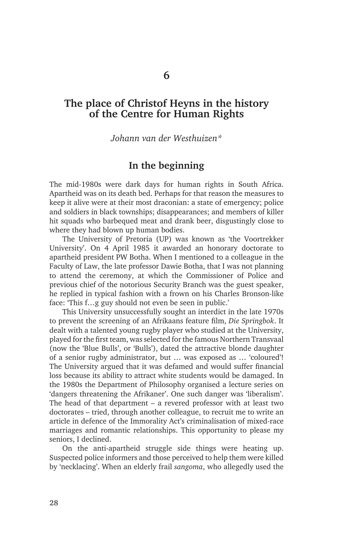# **The place of Christof Heyns in the history of the Centre for Human Rights**

*Johann van der Westhuizen\**

### **In the beginning**

The mid-1980s were dark days for human rights in South Africa. Apartheid was on its death bed. Perhaps for that reason the measures to keep it alive were at their most draconian: a state of emergency; police and soldiers in black townships; disappearances; and members of killer hit squads who barbequed meat and drank beer, disgustingly close to where they had blown up human bodies.

The University of Pretoria (UP) was known as 'the Voortrekker University'. On 4 April 1985 it awarded an honorary doctorate to apartheid president PW Botha. When I mentioned to a colleague in the Faculty of Law, the late professor Dawie Botha, that I was not planning to attend the ceremony, at which the Commissioner of Police and previous chief of the notorious Security Branch was the guest speaker, he replied in typical fashion with a frown on his Charles Bronson-like face: 'This f…g guy should not even be seen in public.'

This University unsuccessfully sought an interdict in the late 1970s to prevent the screening of an Afrikaans feature film, *Die Springbok*. It dealt with a talented young rugby player who studied at the University, played for the first team, was selected for the famous Northern Transvaal (now the 'Blue Bulls', or 'Bulls'), dated the attractive blonde daughter of a senior rugby administrator, but … was exposed as … 'coloured'! The University argued that it was defamed and would suffer financial loss because its ability to attract white students would be damaged. In the 1980s the Department of Philosophy organised a lecture series on 'dangers threatening the Afrikaner'. One such danger was 'liberalism'. The head of that department – a revered professor with at least two doctorates – tried, through another colleague, to recruit me to write an article in defence of the Immorality Act's criminalisation of mixed-race marriages and romantic relationships. This opportunity to please my seniors, I declined.

On the anti-apartheid struggle side things were heating up. Suspected police informers and those perceived to help them were killed by 'necklacing'. When an elderly frail *sangoma*, who allegedly used the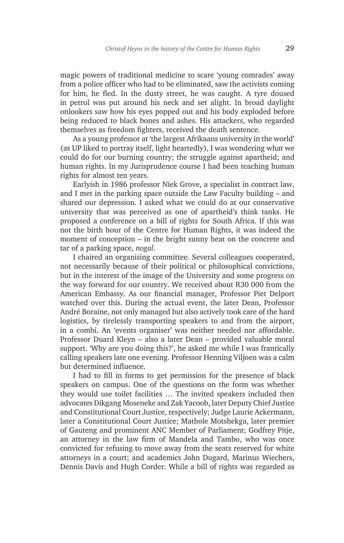magic powers of traditional medicine to scare 'young comrades' away from a police officer who had to be eliminated, saw the activists coming for him, he fled. In the dusty street, he was caught. A tyre doused in petrol was put around his neck and set alight. In broad daylight onlookers saw how his eyes popped out and his body exploded before being reduced to black bones and ashes. His attackers, who regarded themselves as freedom fighters, received the death sentence.

As a young professor at 'the largest Afrikaans university in the world' (as UP liked to portray itself, light heartedly), I was wondering what we could do for our burning country; the struggle against apartheid; and human rights. In my Jurisprudence course I had been teaching human rights for almost ten years.

Earlyish in 1986 professor Niek Grove, a specialist in contract law, and I met in the parking space outside the Law Faculty building – and shared our depression. I asked what we could do at our conservative university that was perceived as one of apartheid's think tanks. He proposed a conference on a bill of rights for South Africa. If this was not the birth hour of the Centre for Human Rights, it was indeed the moment of conception – in the bright sunny heat on the concrete and tar of a parking space, *nogal*.

I chaired an organising committee. Several colleagues cooperated, not necessarily because of their political or philosophical convictions, but in the interest of the image of the University and some progress on the way forward for our country. We received about R30 000 from the American Embassy. As our financial manager, Professor Piet Delport watched over this. During the actual event, the later Dean, Professor André Boraine, not only managed but also actively took care of the hard logistics, by tirelessly transporting speakers to and from the airport, in a combi. An 'events organiser' was neither needed nor affordable. Professor Duard Kleyn – also a later Dean – provided valuable moral support. 'Why are you doing this?', he asked me while I was frantically calling speakers late one evening. Professor Henning Viljoen was a calm but determined influence.

I had to fill in forms to get permission for the presence of black speakers on campus. One of the questions on the form was whether they would use toilet facilities … The invited speakers included then advocates Dikgang Moseneke and Zak Yacoob, later Deputy Chief Justice and Constitutional Court Justice, respectively; Judge Laurie Ackermann, later a Constitutional Court Justice; Mathole Motshekga, later premier of Gauteng and prominent ANC Member of Parliament; Godfrey Pitje, an attorney in the law firm of Mandela and Tambo, who was once convicted for refusing to move away from the seats reserved for white attorneys in a court; and academics John Dugard, Marinus Wiechers, Dennis Davis and Hugh Corder. While a bill of rights was regarded as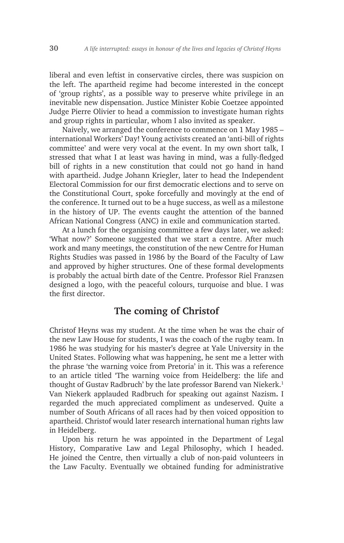liberal and even leftist in conservative circles, there was suspicion on the left. The apartheid regime had become interested in the concept of 'group rights', as a possible way to preserve white privilege in an inevitable new dispensation. Justice Minister Kobie Coetzee appointed Judge Pierre Olivier to head a commission to investigate human rights and group rights in particular, whom I also invited as speaker.

Naively, we arranged the conference to commence on 1 May 1985 – international Workers' Day! Young activists created an 'anti-bill of rights committee' and were very vocal at the event. In my own short talk, I stressed that what I at least was having in mind, was a fully-fledged bill of rights in a new constitution that could not go hand in hand with apartheid. Judge Johann Kriegler, later to head the Independent Electoral Commission for our first democratic elections and to serve on the Constitutional Court, spoke forcefully and movingly at the end of the conference. It turned out to be a huge success, as well as a milestone in the history of UP. The events caught the attention of the banned African National Congress (ANC) in exile and communication started.

At a lunch for the organising committee a few days later, we asked: 'What now?' Someone suggested that we start a centre. After much work and many meetings, the constitution of the new Centre for Human Rights Studies was passed in 1986 by the Board of the Faculty of Law and approved by higher structures. One of these formal developments is probably the actual birth date of the Centre. Professor Riel Franzsen designed a logo, with the peaceful colours, turquoise and blue. I was the first director.

## **The coming of Christof**

Christof Heyns was my student. At the time when he was the chair of the new Law House for students, I was the coach of the rugby team. In 1986 he was studying for his master's degree at Yale University in the United States. Following what was happening, he sent me a letter with the phrase 'the warning voice from Pretoria' in it. This was a reference to an article titled 'The warning voice from Heidelberg: the life and thought of Gustav Radbruch' by the late professor Barend van Niekerk.<sup>1</sup> Van Niekerk applauded Radbruch for speaking out against Nazism**.** I regarded the much appreciated compliment as undeserved. Quite a number of South Africans of all races had by then voiced opposition to apartheid. Christof would later research international human rights law in Heidelberg.

Upon his return he was appointed in the Department of Legal History, Comparative Law and Legal Philosophy, which I headed. He joined the Centre, then virtually a club of non-paid volunteers in the Law Faculty. Eventually we obtained funding for administrative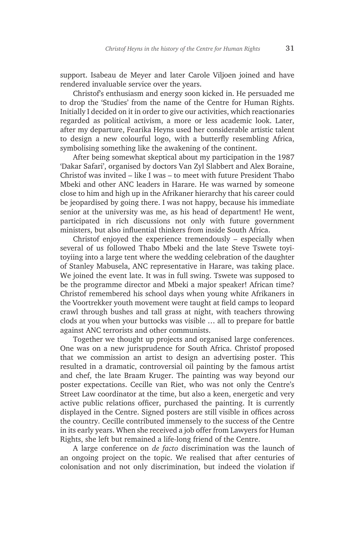support. Isabeau de Meyer and later Carole Viljoen joined and have rendered invaluable service over the years.

Christof's enthusiasm and energy soon kicked in. He persuaded me to drop the 'Studies' from the name of the Centre for Human Rights. Initially I decided on it in order to give our activities, which reactionaries regarded as political activism, a more or less academic look. Later, after my departure, Fearika Heyns used her considerable artistic talent to design a new colourful logo, with a butterfly resembling Africa, symbolising something like the awakening of the continent.

After being somewhat skeptical about my participation in the 1987 'Dakar Safari', organised by doctors Van Zyl Slabbert and Alex Boraine, Christof was invited – like I was – to meet with future President Thabo Mbeki and other ANC leaders in Harare. He was warned by someone close to him and high up in the Afrikaner hierarchy that his career could be jeopardised by going there. I was not happy, because his immediate senior at the university was me, as his head of department! He went, participated in rich discussions not only with future government ministers, but also influential thinkers from inside South Africa.

Christof enjoyed the experience tremendously – especially when several of us followed Thabo Mbeki and the late Steve Tswete toyitoyiing into a large tent where the wedding celebration of the daughter of Stanley Mabusela, ANC representative in Harare, was taking place. We joined the event late. It was in full swing. Tswete was supposed to be the programme director and Mbeki a major speaker! African time? Christof remembered his school days when young white Afrikaners in the Voortrekker youth movement were taught at field camps to leopard crawl through bushes and tall grass at night, with teachers throwing clods at you when your buttocks was visible … all to prepare for battle against ANC terrorists and other communists.

Together we thought up projects and organised large conferences. One was on a new jurisprudence for South Africa. Christof proposed that we commission an artist to design an advertising poster. This resulted in a dramatic, controversial oil painting by the famous artist and chef, the late Braam Kruger. The painting was way beyond our poster expectations. Cecille van Riet, who was not only the Centre's Street Law coordinator at the time, but also a keen, energetic and very active public relations officer, purchased the painting. It is currently displayed in the Centre. Signed posters are still visible in offices across the country. Cecille contributed immensely to the success of the Centre in its early years. When she received a job offer from Lawyers for Human Rights, she left but remained a life-long friend of the Centre.

A large conference on *de facto* discrimination was the launch of an ongoing project on the topic. We realised that after centuries of colonisation and not only discrimination, but indeed the violation if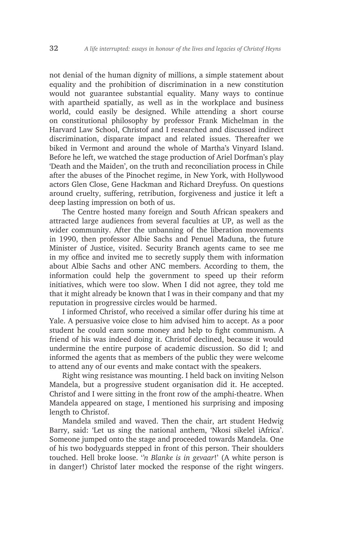not denial of the human dignity of millions, a simple statement about equality and the prohibition of discrimination in a new constitution would not guarantee substantial equality. Many ways to continue with apartheid spatially, as well as in the workplace and business world, could easily be designed. While attending a short course on constitutional philosophy by professor Frank Michelman in the Harvard Law School, Christof and I researched and discussed indirect discrimination, disparate impact and related issues. Thereafter we biked in Vermont and around the whole of Martha's Vinyard Island. Before he left, we watched the stage production of Ariel Dorfman's play 'Death and the Maiden', on the truth and reconciliation process in Chile after the abuses of the Pinochet regime, in New York, with Hollywood actors Glen Close, Gene Hackman and Richard Dreyfuss. On questions around cruelty, suffering, retribution, forgiveness and justice it left a deep lasting impression on both of us.

The Centre hosted many foreign and South African speakers and attracted large audiences from several faculties at UP, as well as the wider community. After the unbanning of the liberation movements in 1990, then professor Albie Sachs and Penuel Maduna, the future Minister of Justice, visited. Security Branch agents came to see me in my office and invited me to secretly supply them with information about Albie Sachs and other ANC members. According to them, the information could help the government to speed up their reform initiatives, which were too slow. When I did not agree, they told me that it might already be known that I was in their company and that my reputation in progressive circles would be harmed.

I informed Christof, who received a similar offer during his time at Yale. A persuasive voice close to him advised him to accept. As a poor student he could earn some money and help to fight communism. A friend of his was indeed doing it. Christof declined, because it would undermine the entire purpose of academic discussion. So did I; and informed the agents that as members of the public they were welcome to attend any of our events and make contact with the speakers.

Right wing resistance was mounting. I held back on inviting Nelson Mandela, but a progressive student organisation did it. He accepted. Christof and I were sitting in the front row of the amphi-theatre. When Mandela appeared on stage, I mentioned his surprising and imposing length to Christof.

Mandela smiled and waved. Then the chair, art student Hedwig Barry, said: 'Let us sing the national anthem, 'Nkosi sikelel iAfrica'. Someone jumped onto the stage and proceeded towards Mandela. One of his two bodyguards stepped in front of this person. Their shoulders touched. Hell broke loose. '*'n Blanke is in gevaar*!' (A white person is in danger!) Christof later mocked the response of the right wingers.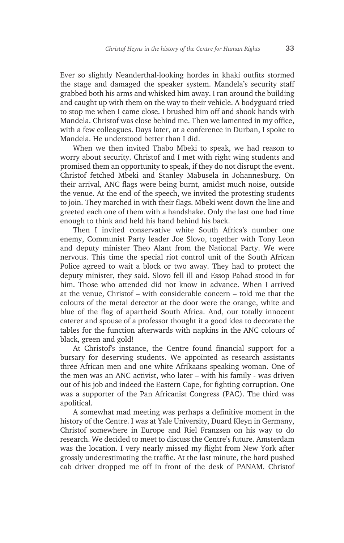Ever so slightly Neanderthal-looking hordes in khaki outfits stormed the stage and damaged the speaker system. Mandela's security staff grabbed both his arms and whisked him away. I ran around the building and caught up with them on the way to their vehicle. A bodyguard tried to stop me when I came close. I brushed him off and shook hands with Mandela. Christof was close behind me. Then we lamented in my office, with a few colleagues. Days later, at a conference in Durban, I spoke to Mandela. He understood better than I did.

When we then invited Thabo Mbeki to speak, we had reason to worry about security. Christof and I met with right wing students and promised them an opportunity to speak, if they do not disrupt the event. Christof fetched Mbeki and Stanley Mabusela in Johannesburg. On their arrival, ANC flags were being burnt, amidst much noise, outside the venue. At the end of the speech, we invited the protesting students to join. They marched in with their flags. Mbeki went down the line and greeted each one of them with a handshake. Only the last one had time enough to think and held his hand behind his back.

Then I invited conservative white South Africa's number one enemy, Communist Party leader Joe Slovo, together with Tony Leon and deputy minister Theo Alant from the National Party. We were nervous. This time the special riot control unit of the South African Police agreed to wait a block or two away. They had to protect the deputy minister, they said. Slovo fell ill and Essop Pahad stood in for him. Those who attended did not know in advance. When I arrived at the venue, Christof – with considerable concern – told me that the colours of the metal detector at the door were the orange, white and blue of the flag of apartheid South Africa. And, our totally innocent caterer and spouse of a professor thought it a good idea to decorate the tables for the function afterwards with napkins in the ANC colours of black, green and gold!

At Christof's instance, the Centre found financial support for a bursary for deserving students. We appointed as research assistants three African men and one white Afrikaans speaking woman. One of the men was an ANC activist, who later – with his family - was driven out of his job and indeed the Eastern Cape, for fighting corruption. One was a supporter of the Pan Africanist Congress (PAC). The third was apolitical.

A somewhat mad meeting was perhaps a definitive moment in the history of the Centre. I was at Yale University, Duard Kleyn in Germany, Christof somewhere in Europe and Riel Franzsen on his way to do research. We decided to meet to discuss the Centre's future. Amsterdam was the location. I very nearly missed my flight from New York after grossly underestimating the traffic. At the last minute, the hard pushed cab driver dropped me off in front of the desk of PANAM. Christof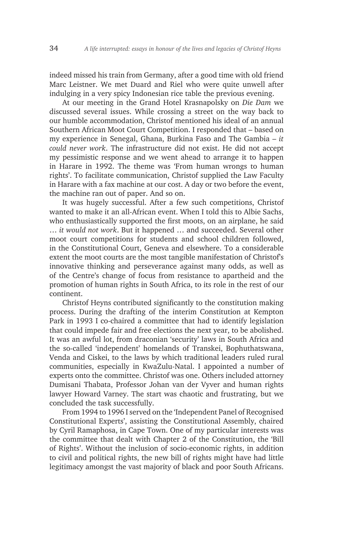indeed missed his train from Germany, after a good time with old friend Marc Leistner. We met Duard and Riel who were quite unwell after indulging in a very spicy Indonesian rice table the previous evening.

At our meeting in the Grand Hotel Krasnapolsky on *Die Dam* we discussed several issues. While crossing a street on the way back to our humble accommodation, Christof mentioned his ideal of an annual Southern African Moot Court Competition. I responded that – based on my experience in Senegal, Ghana, Burkina Faso and The Gambia – *it could never work*. The infrastructure did not exist. He did not accept my pessimistic response and we went ahead to arrange it to happen in Harare in 1992. The theme was 'From human wrongs to human rights'. To facilitate communication, Christof supplied the Law Faculty in Harare with a fax machine at our cost. A day or two before the event, the machine ran out of paper. And so on.

It was hugely successful. After a few such competitions, Christof wanted to make it an all-African event. When I told this to Albie Sachs, who enthusiastically supported the first moots, on an airplane, he said … *it would not work*. But it happened … and succeeded. Several other moot court competitions for students and school children followed, in the Constitutional Court, Geneva and elsewhere. To a considerable extent the moot courts are the most tangible manifestation of Christof's innovative thinking and perseverance against many odds, as well as of the Centre's change of focus from resistance to apartheid and the promotion of human rights in South Africa, to its role in the rest of our continent.

Christof Heyns contributed significantly to the constitution making process. During the drafting of the interim Constitution at Kempton Park in 1993 I co-chaired a committee that had to identify legislation that could impede fair and free elections the next year, to be abolished. It was an awful lot, from draconian 'security' laws in South Africa and the so-called 'independent' homelands of Transkei, Bophuthatswana, Venda and Ciskei, to the laws by which traditional leaders ruled rural communities, especially in KwaZulu-Natal. I appointed a number of experts onto the committee. Christof was one. Others included attorney Dumisani Thabata, Professor Johan van der Vyver and human rights lawyer Howard Varney. The start was chaotic and frustrating, but we concluded the task successfully.

From 1994 to 1996 I served on the 'Independent Panel of Recognised Constitutional Experts', assisting the Constitutional Assembly, chaired by Cyril Ramaphosa, in Cape Town. One of my particular interests was the committee that dealt with Chapter 2 of the Constitution, the 'Bill of Rights'. Without the inclusion of socio-economic rights, in addition to civil and political rights, the new bill of rights might have had little legitimacy amongst the vast majority of black and poor South Africans.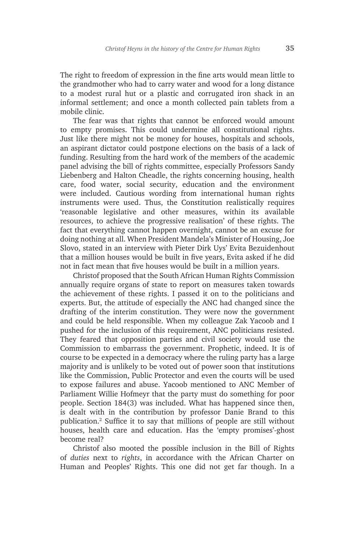The right to freedom of expression in the fine arts would mean little to the grandmother who had to carry water and wood for a long distance to a modest rural hut or a plastic and corrugated iron shack in an informal settlement; and once a month collected pain tablets from a mobile clinic.

The fear was that rights that cannot be enforced would amount to empty promises. This could undermine all constitutional rights. Just like there might not be money for houses, hospitals and schools, an aspirant dictator could postpone elections on the basis of a lack of funding. Resulting from the hard work of the members of the academic panel advising the bill of rights committee, especially Professors Sandy Liebenberg and Halton Cheadle, the rights concerning housing, health care, food water, social security, education and the environment were included. Cautious wording from international human rights instruments were used. Thus, the Constitution realistically requires 'reasonable legislative and other measures, within its available resources, to achieve the progressive realisation' of these rights. The fact that everything cannot happen overnight, cannot be an excuse for doing nothing at all. When President Mandela's Minister of Housing, Joe Slovo, stated in an interview with Pieter Dirk Uys' Evita Bezuidenhout that a million houses would be built in five years, Evita asked if he did not in fact mean that five houses would be built in a million years.

Christof proposed that the South African Human Rights Commission annually require organs of state to report on measures taken towards the achievement of these rights. I passed it on to the politicians and experts. But, the attitude of especially the ANC had changed since the drafting of the interim constitution. They were now the government and could be held responsible. When my colleague Zak Yacoob and I pushed for the inclusion of this requirement, ANC politicians resisted. They feared that opposition parties and civil society would use the Commission to embarrass the government. Prophetic, indeed. It is of course to be expected in a democracy where the ruling party has a large majority and is unlikely to be voted out of power soon that institutions like the Commission, Public Protector and even the courts will be used to expose failures and abuse. Yacoob mentioned to ANC Member of Parliament Willie Hofmeyr that the party must do something for poor people. Section 184(3) was included. What has happened since then, is dealt with in the contribution by professor Danie Brand to this publication.2 Suffice it to say that millions of people are still without houses, health care and education. Has the 'empty promises'-ghost become real?

Christof also mooted the possible inclusion in the Bill of Rights of *duties* next to *rights*, in accordance with the African Charter on Human and Peoples' Rights. This one did not get far though. In a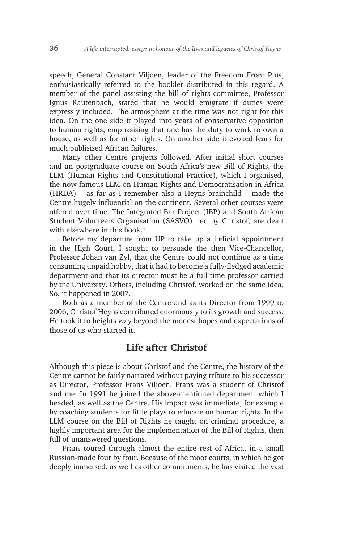speech, General Constant Viljoen, leader of the Freedom Front Plus, enthusiastically referred to the booklet distributed in this regard. A member of the panel assisting the bill of rights committee, Professor Ignus Rautenbach, stated that he would emigrate if duties were expressly included. The atmosphere at the time was not right for this idea. On the one side it played into years of conservative opposition to human rights, emphasising that one has the duty to work to own a house, as well as for other rights. On another side it evoked fears for much publisised African failures.

Many other Centre projects followed. After initial short courses and an postgraduate course on South Africa's new Bill of Rights, the LLM (Human Rights and Constitutional Practice), which I organised, the now famous LLM on Human Rights and Democratisation in Africa (HRDA) – as far as I remember also a Heyns brainchild – made the Centre hugely influential on the continent. Several other courses were offered over time. The Integrated Bar Project (IBP) and South African Student Volunteers Organisation (SASVO), led by Christof, are dealt with elsewhere in this book.<sup>3</sup>

Before my departure from UP to take up a judicial appointment in the High Court, I sought to persuade the then Vice-Chancellor, Professor Johan van Zyl, that the Centre could not continue as a time consuming unpaid hobby, that it had to become a fully-fledged academic department and that its director must be a full time professor carried by the University. Others, including Christof, worked on the same idea. So, it happened in 2007.

Both as a member of the Centre and as its Director from 1999 to 2006, Christof Heyns contributed enormously to its growth and success. He took it to heights way beyond the modest hopes and expectations of those of us who started it.

### **Life after Christof**

Although this piece is about Christof and the Centre, the history of the Centre cannot be fairly narrated without paying tribute to his successor as Director, Professor Frans Viljoen. Frans was a student of Christof and me. In 1991 he joined the above-mentioned department which I headed, as well as the Centre. His impact was immediate, for example by coaching students for little plays to educate on human rights. In the LLM course on the Bill of Rights he taught on criminal procedure, a highly important area for the implementation of the Bill of Rights, then full of unanswered questions.

Frans toured through almost the entire rest of Africa, in a small Russian-made four by four. Because of the moot courts, in which he got deeply immersed, as well as other commitments, he has visited the vast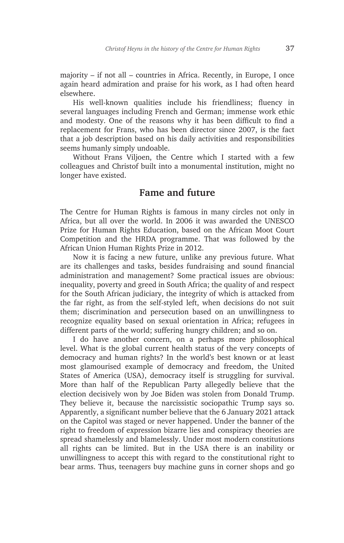majority – if not all – countries in Africa. Recently, in Europe, I once again heard admiration and praise for his work, as I had often heard elsewhere.

His well-known qualities include his friendliness; fluency in several languages including French and German; immense work ethic and modesty. One of the reasons why it has been difficult to find a replacement for Frans, who has been director since 2007, is the fact that a job description based on his daily activities and responsibilities seems humanly simply undoable.

Without Frans Viljoen, the Centre which I started with a few colleagues and Christof built into a monumental institution, might no longer have existed.

### **Fame and future**

The Centre for Human Rights is famous in many circles not only in Africa, but all over the world. In 2006 it was awarded the UNESCO Prize for Human Rights Education, based on the African Moot Court Competition and the HRDA programme. That was followed by the African Union Human Rights Prize in 2012.

Now it is facing a new future, unlike any previous future. What are its challenges and tasks, besides fundraising and sound financial administration and management? Some practical issues are obvious: inequality, poverty and greed in South Africa; the quality of and respect for the South African judiciary, the integrity of which is attacked from the far right, as from the self-styled left, when decisions do not suit them; discrimination and persecution based on an unwillingness to recognize equality based on sexual orientation in Africa; refugees in different parts of the world; suffering hungry children; and so on.

I do have another concern, on a perhaps more philosophical level. What is the global current health status of the very concepts of democracy and human rights? In the world's best known or at least most glamourised example of democracy and freedom, the United States of America (USA), democracy itself is struggling for survival. More than half of the Republican Party allegedly believe that the election decisively won by Joe Biden was stolen from Donald Trump. They believe it, because the narcissistic sociopathic Trump says so. Apparently, a significant number believe that the 6 January 2021 attack on the Capitol was staged or never happened. Under the banner of the right to freedom of expression bizarre lies and conspiracy theories are spread shamelessly and blamelessly. Under most modern constitutions all rights can be limited. But in the USA there is an inability or unwillingness to accept this with regard to the constitutional right to bear arms. Thus, teenagers buy machine guns in corner shops and go